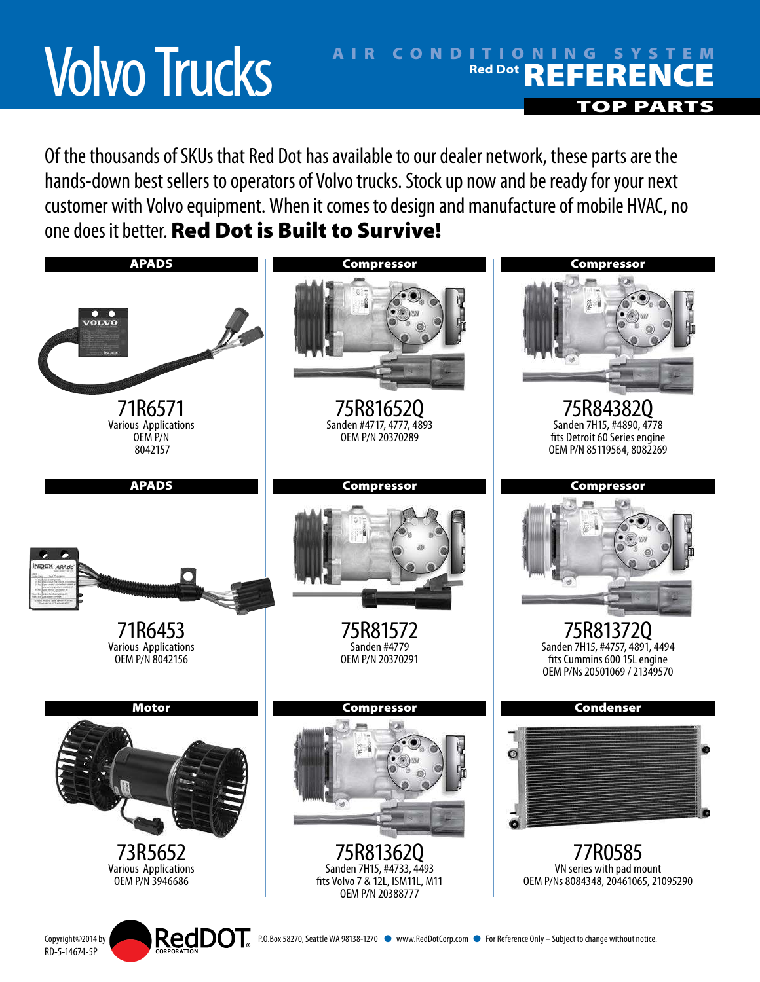## Volvo Trucks

## AIR CONDITIONING SYSTEM **Red Dot REFERENCE** TOP PART

Of the thousands of SKUs that Red Dot has available to our dealer network, these parts are the hands-down best sellers to operators of Volvo trucks. Stock up now and be ready for your next customer with Volvo equipment. When it comes to design and manufacture of mobile HVAC, no one does it better. Red Dot is Built to Survive!



RD-5-14674-5P